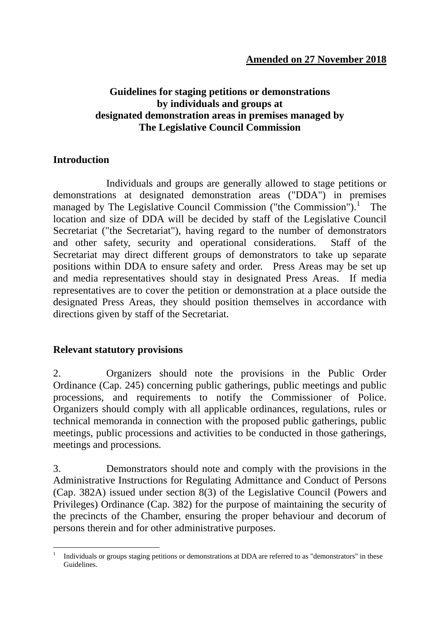# **Guidelines for staging petitions or demonstrations by individuals and groups at designated demonstration areas in premises managed by The Legislative Council Commission**

## **Introduction**

Individuals and groups are generally allowed to stage petitions or demonstrations at designated demonstration areas ("DDA") in premises managed by The Legislative Council Commission ("the Commission").<sup>[1](#page-0-0)</sup> The location and size of DDA will be decided by staff of the Legislative Council Secretariat ("the Secretariat"), having regard to the number of demonstrators and other safety, security and operational considerations. Staff of the Secretariat may direct different groups of demonstrators to take up separate positions within DDA to ensure safety and order. Press Areas may be set up and media representatives should stay in designated Press Areas. If media representatives are to cover the petition or demonstration at a place outside the designated Press Areas, they should position themselves in accordance with directions given by staff of the Secretariat.

# **Relevant statutory provisions**

2. Organizers should note the provisions in the Public Order Ordinance (Cap. 245) concerning public gatherings, public meetings and public processions, and requirements to notify the Commissioner of Police. Organizers should comply with all applicable ordinances, regulations, rules or technical memoranda in connection with the proposed public gatherings, public meetings, public processions and activities to be conducted in those gatherings, meetings and processions*.* 

3. Demonstrators should note and comply with the provisions in the Administrative Instructions for Regulating Admittance and Conduct of Persons (Cap. 382A) issued under section 8(3) of the Legislative Council (Powers and Privileges) Ordinance (Cap. 382) for the purpose of maintaining the security of the precincts of the Chamber, ensuring the proper behaviour and decorum of persons therein and for other administrative purposes.

<span id="page-0-0"></span> <sup>1</sup> Individuals or groups staging petitions or demonstrations at DDA are referred to as "demonstrators" in these Guidelines.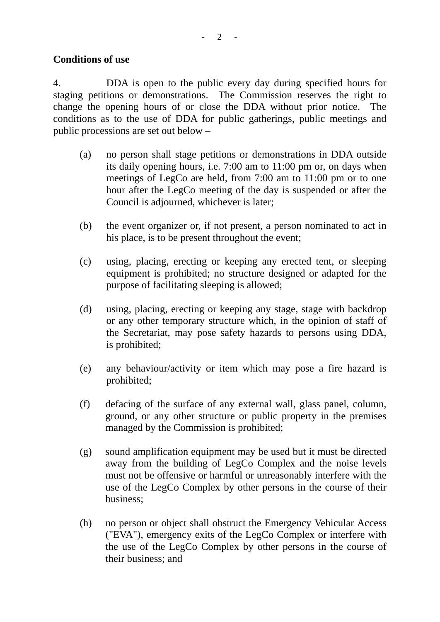### **Conditions of use**

4. DDA is open to the public every day during specified hours for staging petitions or demonstrations. The Commission reserves the right to change the opening hours of or close the DDA without prior notice. The conditions as to the use of DDA for public gatherings, public meetings and public processions are set out below *–*

- (a) no person shall stage petitions or demonstrations in DDA outside its daily opening hours, i.e. 7:00 am to 11:00 pm or, on days when meetings of LegCo are held, from 7:00 am to 11:00 pm or to one hour after the LegCo meeting of the day is suspended or after the Council is adjourned, whichever is later;
- (b) the event organizer or, if not present, a person nominated to act in his place, is to be present throughout the event;
- (c) using, placing, erecting or keeping any erected tent, or sleeping equipment is prohibited; no structure designed or adapted for the purpose of facilitating sleeping is allowed;
- (d) using, placing, erecting or keeping any stage, stage with backdrop or any other temporary structure which, in the opinion of staff of the Secretariat, may pose safety hazards to persons using DDA, is prohibited;
- (e) any behaviour/activity or item which may pose a fire hazard is prohibited;
- (f) defacing of the surface of any external wall, glass panel, column, ground, or any other structure or public property in the premises managed by the Commission is prohibited;
- (g) sound amplification equipment may be used but it must be directed away from the building of LegCo Complex and the noise levels must not be offensive or harmful or unreasonably interfere with the use of the LegCo Complex by other persons in the course of their business;
- (h) no person or object shall obstruct the Emergency Vehicular Access ("EVA"), emergency exits of the LegCo Complex or interfere with the use of the LegCo Complex by other persons in the course of their business; and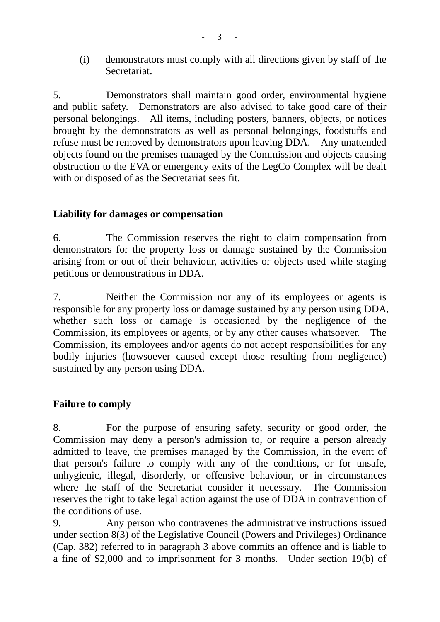(i) demonstrators must comply with all directions given by staff of the Secretariat.

5. Demonstrators shall maintain good order, environmental hygiene and public safety. Demonstrators are also advised to take good care of their personal belongings. All items, including posters, banners, objects, or notices brought by the demonstrators as well as personal belongings, foodstuffs and refuse must be removed by demonstrators upon leaving DDA. Any unattended objects found on the premises managed by the Commission and objects causing obstruction to the EVA or emergency exits of the LegCo Complex will be dealt with or disposed of as the Secretariat sees fit.

### **Liability for damages or compensation**

6. The Commission reserves the right to claim compensation from demonstrators for the property loss or damage sustained by the Commission arising from or out of their behaviour, activities or objects used while staging petitions or demonstrations in DDA.

7. Neither the Commission nor any of its employees or agents is responsible for any property loss or damage sustained by any person using DDA, whether such loss or damage is occasioned by the negligence of the Commission, its employees or agents, or by any other causes whatsoever. The Commission, its employees and/or agents do not accept responsibilities for any bodily injuries (howsoever caused except those resulting from negligence) sustained by any person using DDA.

#### **Failure to comply**

8. For the purpose of ensuring safety, security or good order, the Commission may deny a person's admission to, or require a person already admitted to leave, the premises managed by the Commission, in the event of that person's failure to comply with any of the conditions, or for unsafe, unhygienic, illegal, disorderly, or offensive behaviour, or in circumstances where the staff of the Secretariat consider it necessary. The Commission reserves the right to take legal action against the use of DDA in contravention of the conditions of use.

9. Any person who contravenes the administrative instructions issued under section 8(3) of the Legislative Council (Powers and Privileges) Ordinance (Cap. 382) referred to in paragraph 3 above commits an offence and is liable to a fine of \$2,000 and to imprisonment for 3 months. Under section 19(b) of